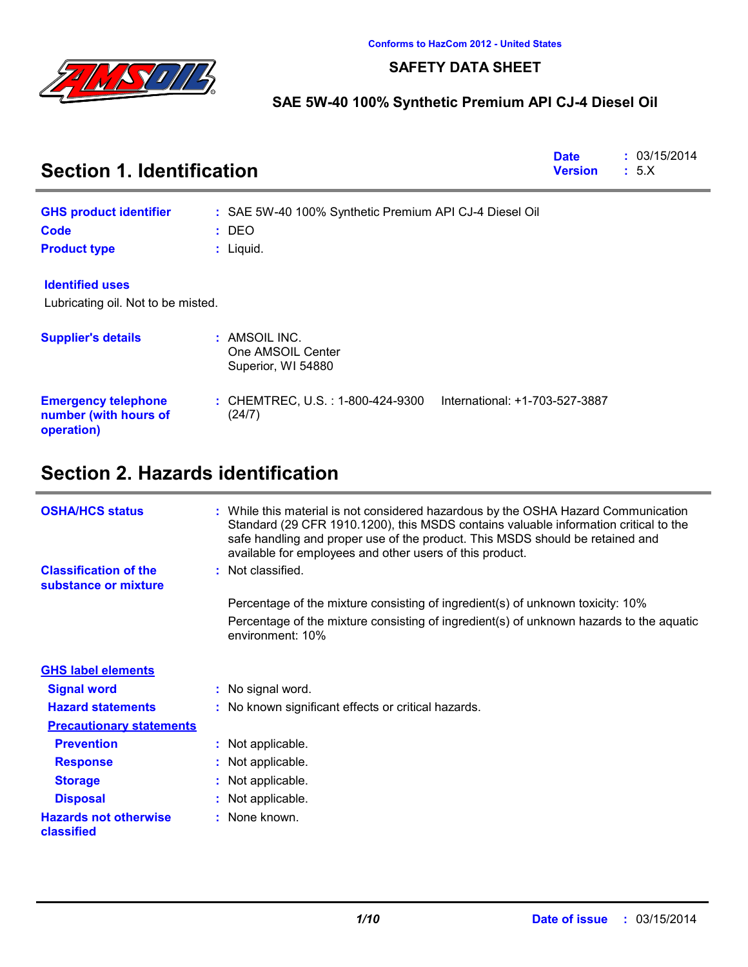

### **SAFETY DATA SHEET**

### **SAE 5W-40 100% Synthetic Premium API CJ-4 Diesel Oil**

| <b>Section 1. Identification</b>                                  | <b>Date</b><br><b>Version</b>                                                 | : 03/15/2014<br>: 5.X |  |
|-------------------------------------------------------------------|-------------------------------------------------------------------------------|-----------------------|--|
| <b>GHS product identifier</b>                                     | : SAE 5W-40 100% Synthetic Premium API CJ-4 Diesel Oil                        |                       |  |
| <b>Code</b>                                                       | $:$ DEO                                                                       |                       |  |
| <b>Product type</b>                                               | $:$ Liquid.                                                                   |                       |  |
| <b>Identified uses</b>                                            |                                                                               |                       |  |
| Lubricating oil. Not to be misted.                                |                                                                               |                       |  |
| <b>Supplier's details</b>                                         | : AMSOIL INC.<br>One AMSOIL Center<br>Superior, WI 54880                      |                       |  |
| <b>Emergency telephone</b><br>number (with hours of<br>operation) | International: +1-703-527-3887<br>: CHEMTREC, U.S. : 1-800-424-9300<br>(24/7) |                       |  |

# **Section 2. Hazards identification**

| <b>OSHA/HCS status</b>                               | : While this material is not considered hazardous by the OSHA Hazard Communication<br>Standard (29 CFR 1910.1200), this MSDS contains valuable information critical to the<br>safe handling and proper use of the product. This MSDS should be retained and<br>available for employees and other users of this product. |
|------------------------------------------------------|-------------------------------------------------------------------------------------------------------------------------------------------------------------------------------------------------------------------------------------------------------------------------------------------------------------------------|
| <b>Classification of the</b><br>substance or mixture | : Not classified.                                                                                                                                                                                                                                                                                                       |
|                                                      | Percentage of the mixture consisting of ingredient(s) of unknown toxicity: 10%                                                                                                                                                                                                                                          |
|                                                      | Percentage of the mixture consisting of ingredient(s) of unknown hazards to the aquatic<br>environment: 10%                                                                                                                                                                                                             |
| <b>GHS label elements</b>                            |                                                                                                                                                                                                                                                                                                                         |
| <b>Signal word</b>                                   | : No signal word.                                                                                                                                                                                                                                                                                                       |
| <b>Hazard statements</b>                             | : No known significant effects or critical hazards.                                                                                                                                                                                                                                                                     |
| <b>Precautionary statements</b>                      |                                                                                                                                                                                                                                                                                                                         |
| <b>Prevention</b>                                    | : Not applicable.                                                                                                                                                                                                                                                                                                       |
| <b>Response</b>                                      | : Not applicable.                                                                                                                                                                                                                                                                                                       |
| <b>Storage</b>                                       | : Not applicable.                                                                                                                                                                                                                                                                                                       |
| <b>Disposal</b>                                      | : Not applicable.                                                                                                                                                                                                                                                                                                       |
| <b>Hazards not otherwise</b><br>classified           | : None known.                                                                                                                                                                                                                                                                                                           |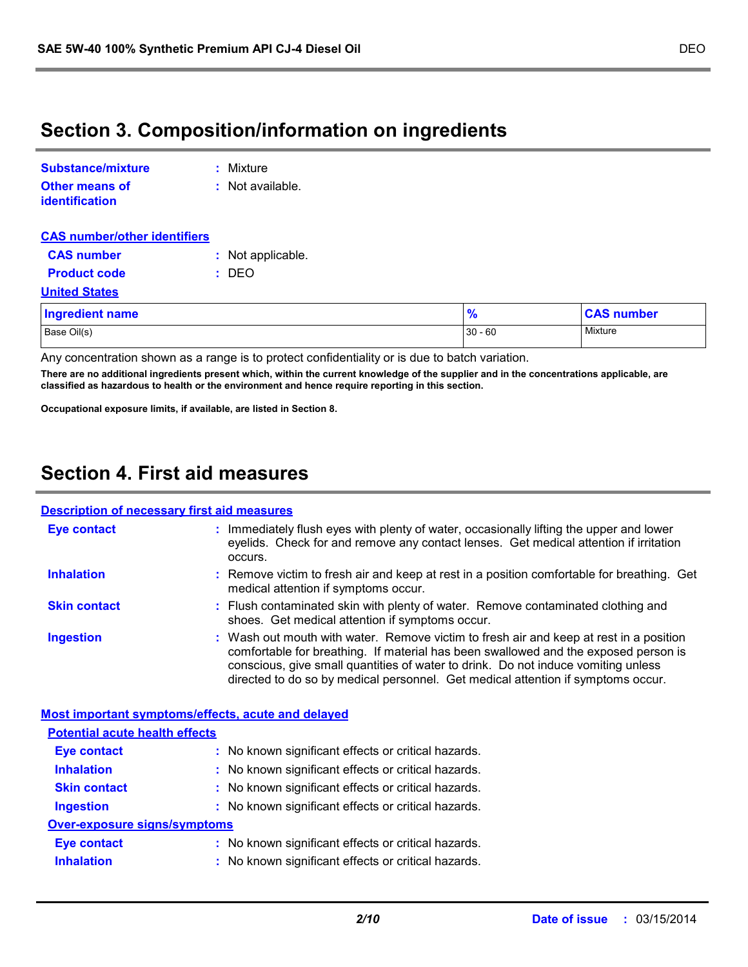# **Section 3. Composition/information on ingredients**

| Substance/mixture                       | : Mixture         |
|-----------------------------------------|-------------------|
| <b>Other means of</b><br>identification | : Not available.  |
| <b>CAS number/other identifiers</b>     |                   |
| <b>CAS number</b>                       | : Not applicable. |

#### **Product code :** DEO

**United States**

| <b>Ingredient name</b> | 0.<br>70  | <b>CAS number</b> |
|------------------------|-----------|-------------------|
| Base Oil(s)            | $30 - 60$ | Mixture           |

Any concentration shown as a range is to protect confidentiality or is due to batch variation.

**There are no additional ingredients present which, within the current knowledge of the supplier and in the concentrations applicable, are classified as hazardous to health or the environment and hence require reporting in this section.**

**Occupational exposure limits, if available, are listed in Section 8.**

## **Section 4. First aid measures**

### **Description of necessary first aid measures**

|                                       | <u>Description of necessary hist aid measures</u>                                                                                                                                                                                                                                                                                                      |
|---------------------------------------|--------------------------------------------------------------------------------------------------------------------------------------------------------------------------------------------------------------------------------------------------------------------------------------------------------------------------------------------------------|
| <b>Eye contact</b>                    | : Immediately flush eyes with plenty of water, occasionally lifting the upper and lower<br>eyelids. Check for and remove any contact lenses. Get medical attention if irritation<br>occurs.                                                                                                                                                            |
| <b>Inhalation</b>                     | : Remove victim to fresh air and keep at rest in a position comfortable for breathing. Get<br>medical attention if symptoms occur.                                                                                                                                                                                                                     |
| <b>Skin contact</b>                   | : Flush contaminated skin with plenty of water. Remove contaminated clothing and<br>shoes. Get medical attention if symptoms occur.                                                                                                                                                                                                                    |
| <b>Ingestion</b>                      | : Wash out mouth with water. Remove victim to fresh air and keep at rest in a position<br>comfortable for breathing. If material has been swallowed and the exposed person is<br>conscious, give small quantities of water to drink. Do not induce vomiting unless<br>directed to do so by medical personnel. Get medical attention if symptoms occur. |
|                                       |                                                                                                                                                                                                                                                                                                                                                        |
|                                       | Most important symptoms/effects, acute and delayed                                                                                                                                                                                                                                                                                                     |
| <b>Potential acute health effects</b> |                                                                                                                                                                                                                                                                                                                                                        |
| <b>Eye contact</b>                    | : No known significant effects or critical hazards.                                                                                                                                                                                                                                                                                                    |
| <b>Inhalation</b>                     | : No known significant effects or critical hazards.                                                                                                                                                                                                                                                                                                    |
| <b>Skin contact</b>                   | : No known significant effects or critical hazards.                                                                                                                                                                                                                                                                                                    |
| <b>Ingestion</b>                      | : No known significant effects or critical hazards.                                                                                                                                                                                                                                                                                                    |
| <b>Over-exposure signs/symptoms</b>   |                                                                                                                                                                                                                                                                                                                                                        |
| <b>Eye contact</b>                    | : No known significant effects or critical hazards.                                                                                                                                                                                                                                                                                                    |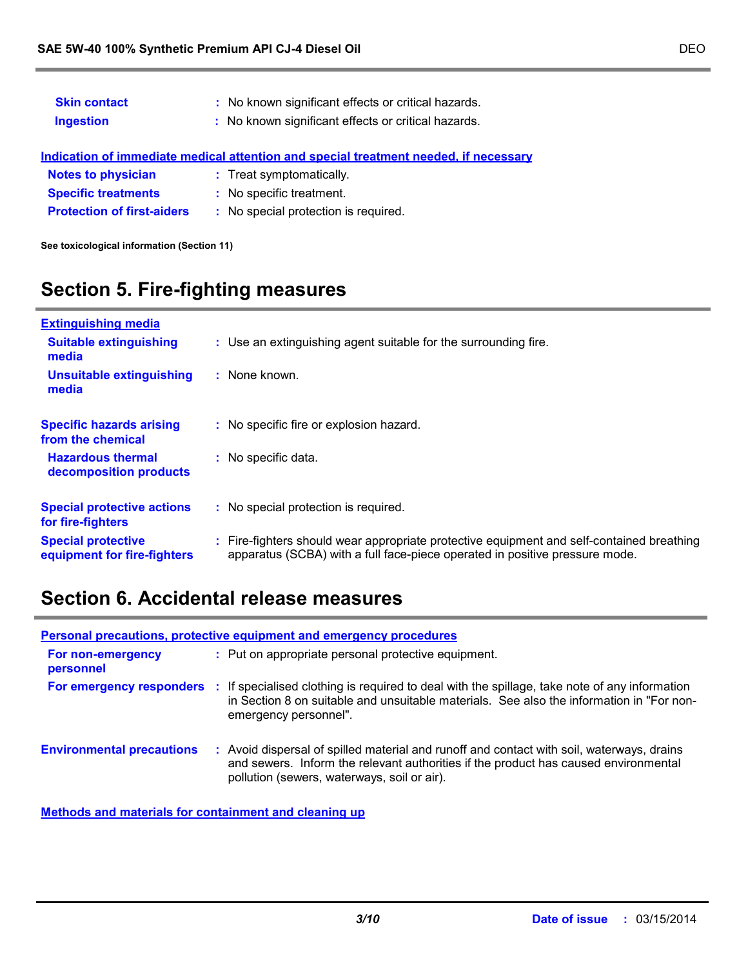| <b>Skin contact</b><br><b>Ingestion</b> | : No known significant effects or critical hazards.<br>: No known significant effects or critical hazards. |
|-----------------------------------------|------------------------------------------------------------------------------------------------------------|
|                                         | Indication of immediate medical attention and special treatment needed, if necessary                       |
| <b>Notes to physician</b>               | : Treat symptomatically.                                                                                   |
| <b>Specific treatments</b>              | : No specific treatment.                                                                                   |
| <b>Protection of first-aiders</b>       | : No special protection is required.                                                                       |
|                                         |                                                                                                            |

**See toxicological information (Section 11)**

# **Section 5. Fire-fighting measures**

| <b>Extinguishing media</b>                               |                                                                                                                                                                          |
|----------------------------------------------------------|--------------------------------------------------------------------------------------------------------------------------------------------------------------------------|
| <b>Suitable extinguishing</b><br>media                   | : Use an extinguishing agent suitable for the surrounding fire.                                                                                                          |
| Unsuitable extinguishing<br>media                        | : None known.                                                                                                                                                            |
| <b>Specific hazards arising</b><br>from the chemical     | : No specific fire or explosion hazard.                                                                                                                                  |
| <b>Hazardous thermal</b><br>decomposition products       | : No specific data.                                                                                                                                                      |
| <b>Special protective actions</b><br>for fire-fighters   | : No special protection is required.                                                                                                                                     |
| <b>Special protective</b><br>equipment for fire-fighters | : Fire-fighters should wear appropriate protective equipment and self-contained breathing<br>apparatus (SCBA) with a full face-piece operated in positive pressure mode. |

# **Section 6. Accidental release measures**

|                                  | <b>Personal precautions, protective equipment and emergency procedures</b>                                                                                                                                                      |
|----------------------------------|---------------------------------------------------------------------------------------------------------------------------------------------------------------------------------------------------------------------------------|
| For non-emergency<br>personnel   | : Put on appropriate personal protective equipment.                                                                                                                                                                             |
| For emergency responders :       | If specialised clothing is required to deal with the spillage, take note of any information<br>in Section 8 on suitable and unsuitable materials. See also the information in "For non-<br>emergency personnel".                |
| <b>Environmental precautions</b> | : Avoid dispersal of spilled material and runoff and contact with soil, waterways, drains<br>and sewers. Inform the relevant authorities if the product has caused environmental<br>pollution (sewers, waterways, soil or air). |

**Methods and materials for containment and cleaning up**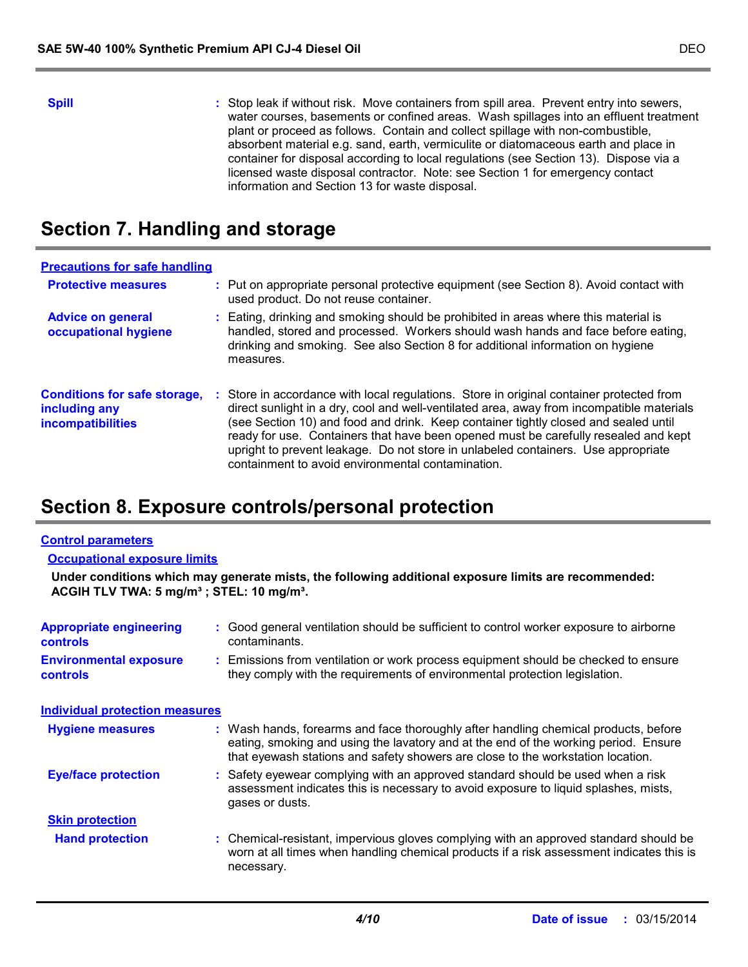**Spill** Stop leak if without risk. Move containers from spill area. Prevent entry into sewers, water courses, basements or confined areas. Wash spillages into an effluent treatment plant or proceed as follows. Contain and collect spillage with non-combustible, absorbent material e.g. sand, earth, vermiculite or diatomaceous earth and place in container for disposal according to local regulations (see Section 13). Dispose via a licensed waste disposal contractor. Note: see Section 1 for emergency contact information and Section 13 for waste disposal.

# **Section 7. Handling and storage**

| <b>Precautions for safe handling</b>                                             |    |                                                                                                                                                                                                                                                                                                                                                                                                                                                                                                             |
|----------------------------------------------------------------------------------|----|-------------------------------------------------------------------------------------------------------------------------------------------------------------------------------------------------------------------------------------------------------------------------------------------------------------------------------------------------------------------------------------------------------------------------------------------------------------------------------------------------------------|
| <b>Protective measures</b>                                                       |    | : Put on appropriate personal protective equipment (see Section 8). Avoid contact with<br>used product. Do not reuse container.                                                                                                                                                                                                                                                                                                                                                                             |
| <b>Advice on general</b><br>occupational hygiene                                 |    | : Eating, drinking and smoking should be prohibited in areas where this material is<br>handled, stored and processed. Workers should wash hands and face before eating,<br>drinking and smoking. See also Section 8 for additional information on hygiene<br>measures.                                                                                                                                                                                                                                      |
| <b>Conditions for safe storage,</b><br>including any<br><b>incompatibilities</b> | ÷. | Store in accordance with local regulations. Store in original container protected from<br>direct sunlight in a dry, cool and well-ventilated area, away from incompatible materials<br>(see Section 10) and food and drink. Keep container tightly closed and sealed until<br>ready for use. Containers that have been opened must be carefully resealed and kept<br>upright to prevent leakage. Do not store in unlabeled containers. Use appropriate<br>containment to avoid environmental contamination. |

# **Section 8. Exposure controls/personal protection**

#### **Control parameters**

#### **Occupational exposure limits**

**Under conditions which may generate mists, the following additional exposure limits are recommended: ACGIH TLV TWA: 5 mg/m³ ; STEL: 10 mg/m³.**

| <b>Appropriate engineering</b><br><b>controls</b> | : Good general ventilation should be sufficient to control worker exposure to airborne<br>contaminants.                                                                                                                                                       |
|---------------------------------------------------|---------------------------------------------------------------------------------------------------------------------------------------------------------------------------------------------------------------------------------------------------------------|
| <b>Environmental exposure</b><br><b>controls</b>  | Emissions from ventilation or work process equipment should be checked to ensure<br>they comply with the requirements of environmental protection legislation.                                                                                                |
| <b>Individual protection measures</b>             |                                                                                                                                                                                                                                                               |
| <b>Hygiene measures</b>                           | : Wash hands, forearms and face thoroughly after handling chemical products, before<br>eating, smoking and using the lavatory and at the end of the working period. Ensure<br>that eyewash stations and safety showers are close to the workstation location. |
| <b>Eye/face protection</b>                        | : Safety eyewear complying with an approved standard should be used when a risk<br>assessment indicates this is necessary to avoid exposure to liquid splashes, mists,<br>gases or dusts.                                                                     |
| <b>Skin protection</b>                            |                                                                                                                                                                                                                                                               |
| <b>Hand protection</b>                            | : Chemical-resistant, impervious gloves complying with an approved standard should be<br>worn at all times when handling chemical products if a risk assessment indicates this is<br>necessary.                                                               |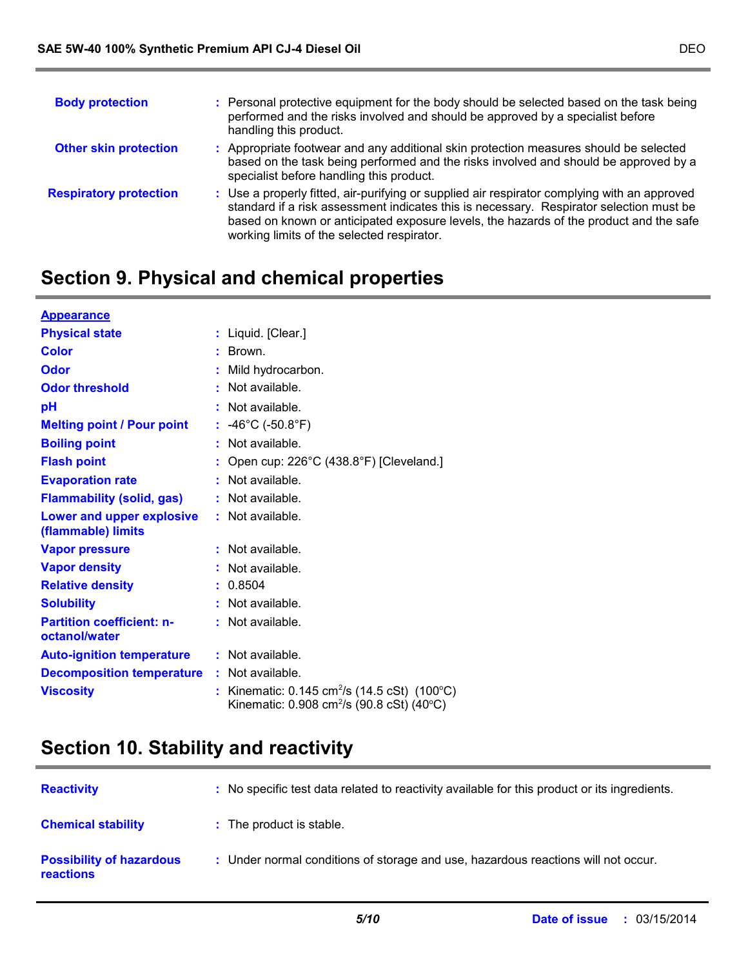| <b>Body protection</b>        | : Personal protective equipment for the body should be selected based on the task being<br>performed and the risks involved and should be approved by a specialist before<br>handling this product.                                                                                                                             |
|-------------------------------|---------------------------------------------------------------------------------------------------------------------------------------------------------------------------------------------------------------------------------------------------------------------------------------------------------------------------------|
| <b>Other skin protection</b>  | : Appropriate footwear and any additional skin protection measures should be selected<br>based on the task being performed and the risks involved and should be approved by a<br>specialist before handling this product.                                                                                                       |
| <b>Respiratory protection</b> | : Use a properly fitted, air-purifying or supplied air respirator complying with an approved<br>standard if a risk assessment indicates this is necessary. Respirator selection must be<br>based on known or anticipated exposure levels, the hazards of the product and the safe<br>working limits of the selected respirator. |

# **Section 9. Physical and chemical properties**

| <b>Appearance</b>                                 |                                                                                                                         |
|---------------------------------------------------|-------------------------------------------------------------------------------------------------------------------------|
| <b>Physical state</b>                             | : Liquid. [Clear.]                                                                                                      |
| <b>Color</b>                                      | : Brown.                                                                                                                |
| Odor                                              | : Mild hydrocarbon.                                                                                                     |
| <b>Odor threshold</b>                             | $:$ Not available.                                                                                                      |
| рH                                                | $:$ Not available.                                                                                                      |
| <b>Melting point / Pour point</b>                 | : $-46^{\circ}$ C ( $-50.8^{\circ}$ F)                                                                                  |
| <b>Boiling point</b>                              | $:$ Not available.                                                                                                      |
| <b>Flash point</b>                                | Open cup: 226°C (438.8°F) [Cleveland.]                                                                                  |
| <b>Evaporation rate</b>                           | $:$ Not available.                                                                                                      |
| <b>Flammability (solid, gas)</b>                  | $:$ Not available.                                                                                                      |
| Lower and upper explosive<br>(flammable) limits   | : Not available.                                                                                                        |
| <b>Vapor pressure</b>                             | $:$ Not available.                                                                                                      |
| <b>Vapor density</b>                              | : Not available.                                                                                                        |
| <b>Relative density</b>                           | : 0.8504                                                                                                                |
| <b>Solubility</b>                                 | $:$ Not available.                                                                                                      |
| <b>Partition coefficient: n-</b><br>octanol/water | $:$ Not available.                                                                                                      |
| <b>Auto-ignition temperature</b>                  | : Not available.                                                                                                        |
| <b>Decomposition temperature</b>                  | $:$ Not available.                                                                                                      |
| <b>Viscosity</b>                                  | : Kinematic: $0.145 \text{ cm}^2/\text{s}$ (14.5 cSt) (100 °C)<br>Kinematic: 0.908 cm <sup>2</sup> /s (90.8 cSt) (40°C) |

# **Section 10. Stability and reactivity**

| <b>Reactivity</b>                                   | : No specific test data related to reactivity available for this product or its ingredients. |
|-----------------------------------------------------|----------------------------------------------------------------------------------------------|
| <b>Chemical stability</b>                           | : The product is stable.                                                                     |
| <b>Possibility of hazardous</b><br><b>reactions</b> | : Under normal conditions of storage and use, hazardous reactions will not occur.            |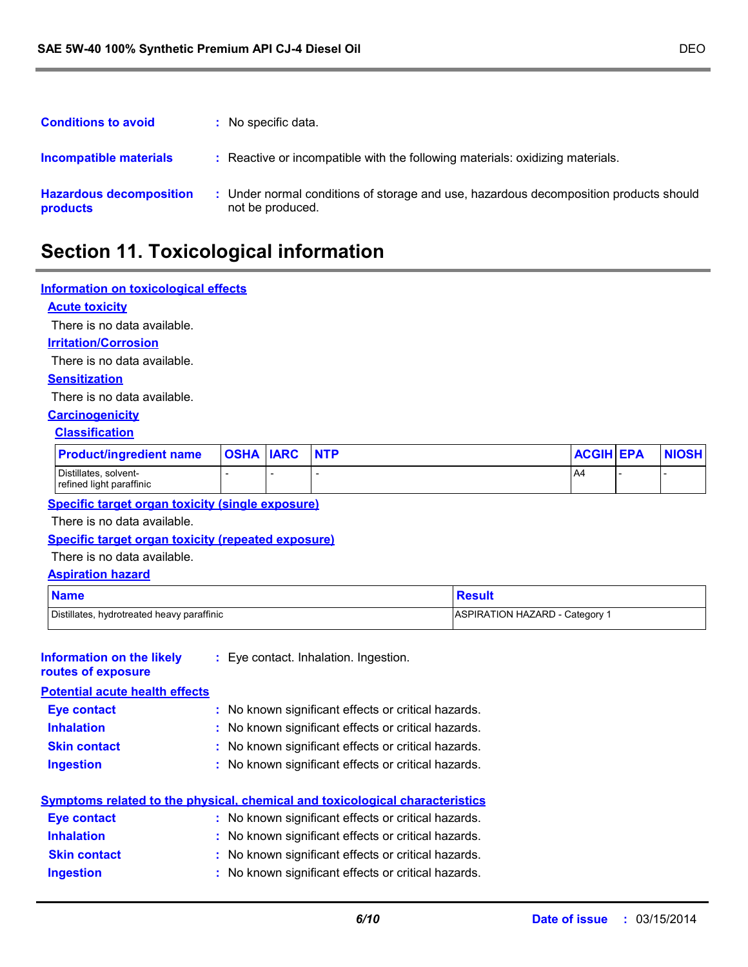| <b>Conditions to avoid</b>                 | : No specific data.                                                                                     |
|--------------------------------------------|---------------------------------------------------------------------------------------------------------|
| Incompatible materials                     | : Reactive or incompatible with the following materials: oxidizing materials.                           |
| <b>Hazardous decomposition</b><br>products | Under normal conditions of storage and use, hazardous decomposition products should<br>not be produced. |

# **Section 11. Toxicological information**

### **Information on toxicological effects**

### **Acute toxicity**

There is no data available.

#### **Irritation/Corrosion**

There is no data available.

#### **Sensitization**

There is no data available.

### **Carcinogenicity**

#### **Classification**

| <b>Product/ingredient name</b>                    | <b>OSHA IARC</b> | <b>NTP</b> | <b>ACGIH EPA</b> | <b>NIOSH</b> |
|---------------------------------------------------|------------------|------------|------------------|--------------|
| Distillates, solvent-<br>refined light paraffinic |                  |            | A4               |              |

### **Specific target organ toxicity (single exposure)**

There is no data available.

### **Specific target organ toxicity (repeated exposure)**

### There is no data available.

### **Aspiration hazard**

| <b>Name</b>                                | <b>Result</b>                |
|--------------------------------------------|------------------------------|
| Distillates, hydrotreated heavy paraffinic | ASPIRATION HAZARD - Category |

| <b>Information on the likely</b><br>routes of exposure | : Eye contact. Inhalation. Ingestion.               |
|--------------------------------------------------------|-----------------------------------------------------|
| <b>Potential acute health effects</b>                  |                                                     |
| <b>Eye contact</b>                                     | : No known significant effects or critical hazards. |
| <b>Inhalation</b>                                      | : No known significant effects or critical hazards. |
| <b>Skin contact</b>                                    | : No known significant effects or critical hazards. |
| <b>Ingestion</b>                                       | : No known significant effects or critical hazards. |

#### **Symptoms related to the physical, chemical and toxicological characteristics Eye contact :** No known significant effects or critical hazards.

| <b>EVE CONTACT</b>  | . TVO KITOWIT SIGHIJICAHL EHECLS OF CHILCAL HAZARUS. |
|---------------------|------------------------------------------------------|
| <b>Inhalation</b>   | : No known significant effects or critical hazards.  |
| <b>Skin contact</b> | : No known significant effects or critical hazards.  |
| <b>Ingestion</b>    | : No known significant effects or critical hazards.  |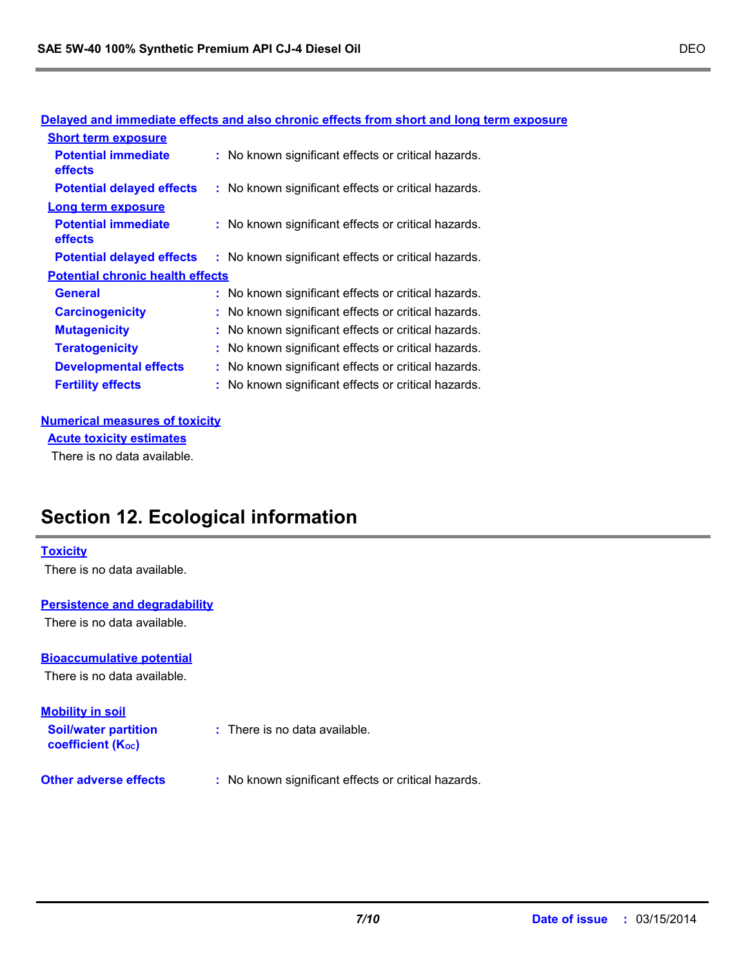|                                              | Delayed and immediate effects and also chronic effects from short and long term exposure |
|----------------------------------------------|------------------------------------------------------------------------------------------|
| <b>Short term exposure</b>                   |                                                                                          |
| <b>Potential immediate</b><br><b>effects</b> | : No known significant effects or critical hazards.                                      |
| <b>Potential delayed effects</b>             | : No known significant effects or critical hazards.                                      |
| <b>Long term exposure</b>                    |                                                                                          |
| <b>Potential immediate</b><br><b>effects</b> | : No known significant effects or critical hazards.                                      |
| <b>Potential delayed effects</b>             | : No known significant effects or critical hazards.                                      |
| <b>Potential chronic health effects</b>      |                                                                                          |
| <b>General</b>                               | : No known significant effects or critical hazards.                                      |
| <b>Carcinogenicity</b>                       | : No known significant effects or critical hazards.                                      |
| <b>Mutagenicity</b>                          | : No known significant effects or critical hazards.                                      |
| <b>Teratogenicity</b>                        | : No known significant effects or critical hazards.                                      |
| <b>Developmental effects</b>                 | : No known significant effects or critical hazards.                                      |
| <b>Fertility effects</b>                     | : No known significant effects or critical hazards.                                      |
|                                              |                                                                                          |

### **Delayed and immediate effects and also chronic effects from short and long term exposure**

### **Numerical measures of toxicity**

**Acute toxicity estimates**

There is no data available.

# **Section 12. Ecological information**

### **Toxicity**

There is no data available.

### **Persistence and degradability**

There is no data available.

### **Bioaccumulative potential**

There is no data available.

### **Mobility in soil**

**Soil/water partition coefficient (Koc)** 

- **:** There is no data available.
- **Other adverse effects** : No known significant effects or critical hazards.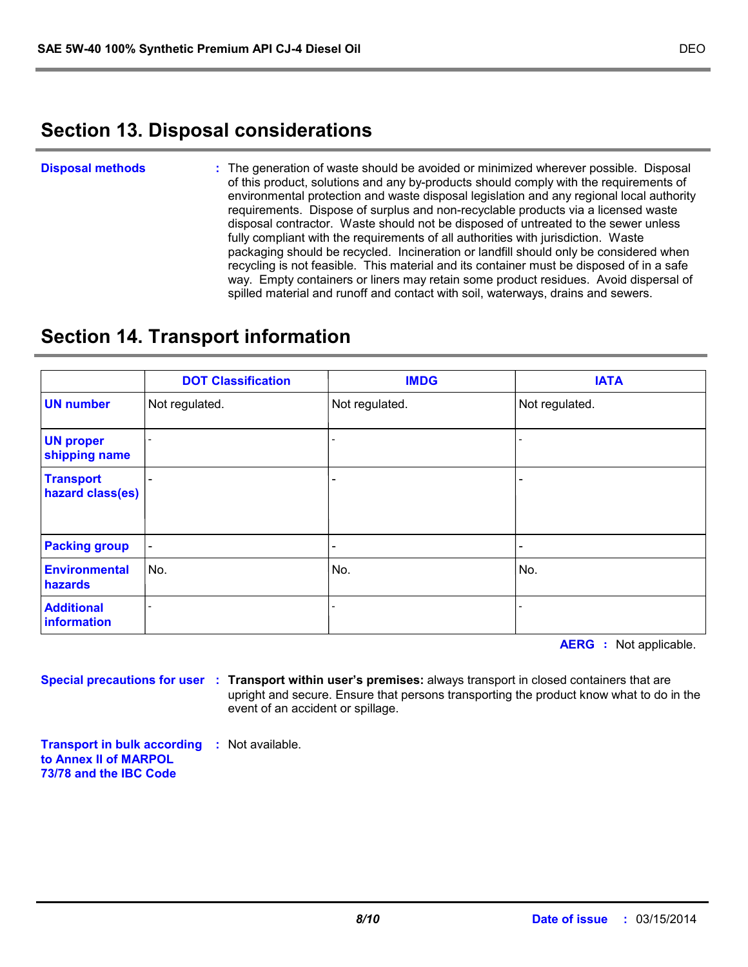# **Section 13. Disposal considerations**

The generation of waste should be avoided or minimized wherever possible. Disposal of this product, solutions and any by-products should comply with the requirements of environmental protection and waste disposal legislation and any regional local authority requirements. Dispose of surplus and non-recyclable products via a licensed waste disposal contractor. Waste should not be disposed of untreated to the sewer unless fully compliant with the requirements of all authorities with jurisdiction. Waste packaging should be recycled. Incineration or landfill should only be considered when recycling is not feasible. This material and its container must be disposed of in a safe way. Empty containers or liners may retain some product residues. Avoid dispersal of spilled material and runoff and contact with soil, waterways, drains and sewers. **Disposal methods :**

# **Section 14. Transport information**

|                                      | <b>DOT Classification</b>    | <b>IMDG</b>                  | <b>IATA</b>              |
|--------------------------------------|------------------------------|------------------------------|--------------------------|
| <b>UN number</b>                     | Not regulated.               | Not regulated.               | Not regulated.           |
| <b>UN proper</b><br>shipping name    | ٠                            | $\qquad \qquad \blacksquare$ |                          |
| <b>Transport</b><br>hazard class(es) | $\overline{\phantom{a}}$     |                              | $\overline{\phantom{0}}$ |
| <b>Packing group</b>                 | $\overline{\phantom{a}}$     |                              | $\overline{\phantom{0}}$ |
| <b>Environmental</b><br>hazards      | No.                          | No.                          | No.                      |
| <b>Additional</b><br>information     | $\qquad \qquad \blacksquare$ |                              |                          |

**AERG :** Not applicable.

**Special precautions for user Transport within user's premises:** always transport in closed containers that are **:** upright and secure. Ensure that persons transporting the product know what to do in the event of an accident or spillage.

**Transport in bulk according :** Not available. **to Annex II of MARPOL 73/78 and the IBC Code**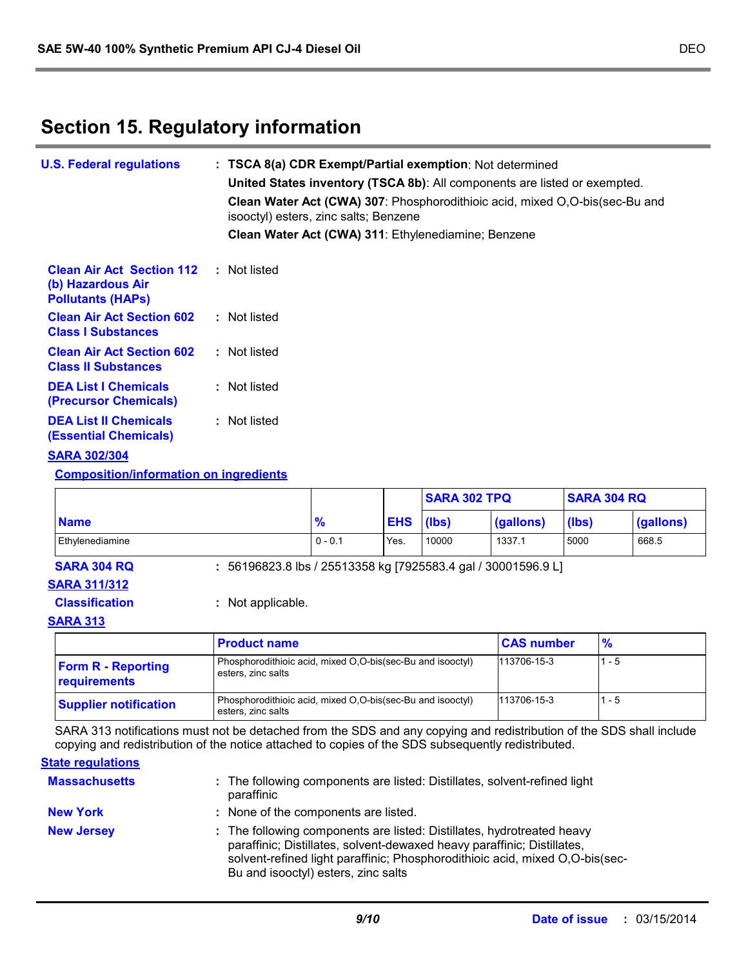# **Section 15. Regulatory information**

| <b>U.S. Federal regulations</b>                                                   | : TSCA 8(a) CDR Exempt/Partial exemption: Not determined<br>United States inventory (TSCA 8b): All components are listed or exempted.<br>Clean Water Act (CWA) 307: Phosphorodithioic acid, mixed O,O-bis(sec-Bu and<br>isooctyl) esters, zinc salts; Benzene |
|-----------------------------------------------------------------------------------|---------------------------------------------------------------------------------------------------------------------------------------------------------------------------------------------------------------------------------------------------------------|
|                                                                                   | Clean Water Act (CWA) 311: Ethylenediamine; Benzene                                                                                                                                                                                                           |
| <b>Clean Air Act Section 112</b><br>(b) Hazardous Air<br><b>Pollutants (HAPS)</b> | : Not listed                                                                                                                                                                                                                                                  |
| <b>Clean Air Act Section 602</b><br><b>Class I Substances</b>                     | : Not listed                                                                                                                                                                                                                                                  |
| <b>Clean Air Act Section 602</b><br><b>Class II Substances</b>                    | : Not listed                                                                                                                                                                                                                                                  |
| <b>DEA List I Chemicals</b><br>(Precursor Chemicals)                              | : Not listed                                                                                                                                                                                                                                                  |
| <b>DEA List II Chemicals</b><br><b>(Essential Chemicals)</b>                      | : Not listed                                                                                                                                                                                                                                                  |
| <b>BABA BARIARA</b>                                                               |                                                                                                                                                                                                                                                               |

### **SARA 302/304**

**Composition/information on ingredients**

|                       |                                                                 |               |      | <b>SARA 302 TPQ</b> |                   | <b>SARA 304 RQ</b> |           |
|-----------------------|-----------------------------------------------------------------|---------------|------|---------------------|-------------------|--------------------|-----------|
| <b>Name</b>           |                                                                 | $\frac{9}{6}$ |      | (Ibs)               | (gallons)         | (lbs)              | (gallons) |
| Ethylenediamine       |                                                                 | $0 - 0.1$     | Yes. | 10000               | 1337.1            | 5000               | 668.5     |
| <b>SARA 304 RQ</b>    | $: 56196823.8$ lbs / 25513358 kg [7925583.4 gal / 30001596.9 L] |               |      |                     |                   |                    |           |
| <b>SARA 311/312</b>   |                                                                 |               |      |                     |                   |                    |           |
| <b>Classification</b> | : Not applicable.                                               |               |      |                     |                   |                    |           |
| <b>SARA 313</b>       |                                                                 |               |      |                     |                   |                    |           |
|                       | <b>Product name</b>                                             |               |      |                     | <b>CAS number</b> | $\frac{9}{6}$      |           |
|                       | Phosphorodithioic acid mixed O O-bis(sec-Bu and isooctyl)       |               |      |                     | 113706-15-3       |                    | - 5       |

| <b>Form R - Reporting</b><br>requirements | Phosphorodithioic acid, mixed O.O-bis(sec-Bu and isooctyl)<br>esters, zinc salts | 113706-15-3 | 1 - 5   |
|-------------------------------------------|----------------------------------------------------------------------------------|-------------|---------|
| <b>Supplier notification</b>              | Phosphorodithioic acid, mixed O.O-bis(sec-Bu and isooctyl)<br>esters, zinc salts | 113706-15-3 | $1 - 5$ |

SARA 313 notifications must not be detached from the SDS and any copying and redistribution of the SDS shall include copying and redistribution of the notice attached to copies of the SDS subsequently redistributed.

#### **State regulations**

| <b>Massachusetts</b> | : The following components are listed: Distillates, solvent-refined light<br>paraffinic                                                                                                                                                                                  |
|----------------------|--------------------------------------------------------------------------------------------------------------------------------------------------------------------------------------------------------------------------------------------------------------------------|
| <b>New York</b>      | : None of the components are listed.                                                                                                                                                                                                                                     |
| <b>New Jersey</b>    | : The following components are listed: Distillates, hydrotreated heavy<br>paraffinic; Distillates, solvent-dewaxed heavy paraffinic; Distillates,<br>solvent-refined light paraffinic; Phosphorodithioic acid, mixed O,O-bis(sec-<br>Bu and isooctyl) esters, zinc salts |